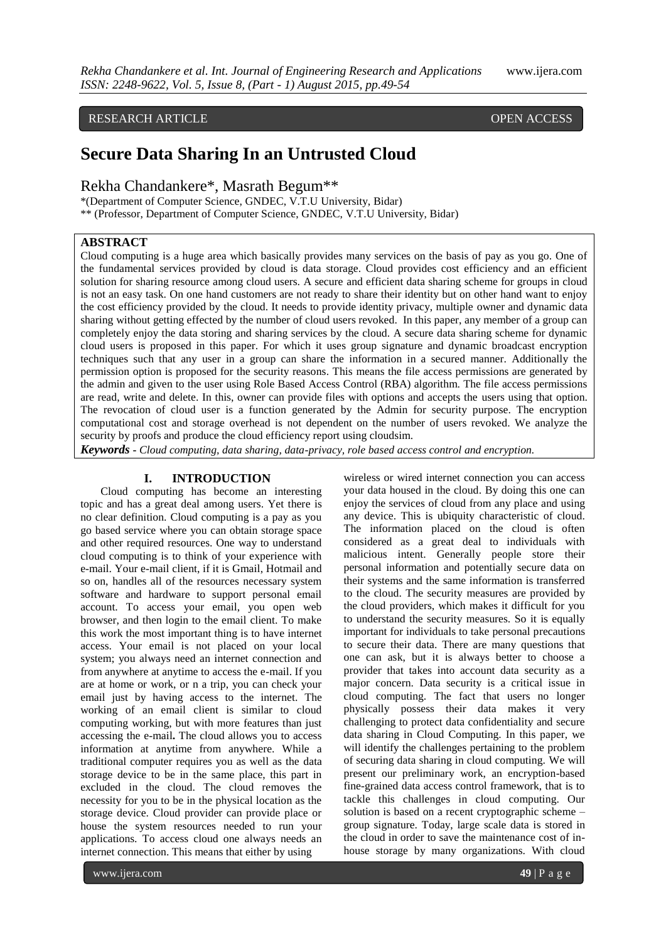# RESEARCH ARTICLE OPEN ACCESS

# **Secure Data Sharing In an Untrusted Cloud**

Rekha Chandankere\*, Masrath Begum\*\*

\*(Department of Computer Science, GNDEC, V.T.U University, Bidar) \*\* (Professor, Department of Computer Science, GNDEC, V.T.U University, Bidar)

# **ABSTRACT**

Cloud computing is a huge area which basically provides many services on the basis of pay as you go. One of the fundamental services provided by cloud is data storage. Cloud provides cost efficiency and an efficient solution for sharing resource among cloud users. A secure and efficient data sharing scheme for groups in cloud is not an easy task. On one hand customers are not ready to share their identity but on other hand want to enjoy the cost efficiency provided by the cloud. It needs to provide identity privacy, multiple owner and dynamic data sharing without getting effected by the number of cloud users revoked. In this paper, any member of a group can completely enjoy the data storing and sharing services by the cloud. A secure data sharing scheme for dynamic cloud users is proposed in this paper. For which it uses group signature and dynamic broadcast encryption techniques such that any user in a group can share the information in a secured manner. Additionally the permission option is proposed for the security reasons. This means the file access permissions are generated by the admin and given to the user using Role Based Access Control (RBA) algorithm. The file access permissions are read, write and delete. In this, owner can provide files with options and accepts the users using that option. The revocation of cloud user is a function generated by the Admin for security purpose. The encryption computational cost and storage overhead is not dependent on the number of users revoked. We analyze the security by proofs and produce the cloud efficiency report using cloudsim.

*Keywords* **-** *Cloud computing, data sharing, data-privacy, role based access control and encryption.*

## **I. INTRODUCTION**

Cloud computing has become an interesting topic and has a great deal among users. Yet there is no clear definition. Cloud computing is a pay as you go based service where you can obtain storage space and other required resources. One way to understand cloud computing is to think of your experience with e-mail. Your e-mail client, if it is Gmail, Hotmail and so on, handles all of the resources necessary system software and hardware to support personal email account. To access your email, you open web browser, and then login to the email client. To make this work the most important thing is to have internet access. Your email is not placed on your local system; you always need an internet connection and from anywhere at anytime to access the e-mail. If you are at home or work, or n a trip, you can check your email just by having access to the internet. The working of an email client is similar to cloud computing working, but with more features than just accessing the e-mail**.** The cloud allows you to access information at anytime from anywhere. While a traditional computer requires you as well as the data storage device to be in the same place, this part in excluded in the cloud. The cloud removes the necessity for you to be in the physical location as the storage device. Cloud provider can provide place or house the system resources needed to run your applications. To access cloud one always needs an internet connection. This means that either by using

wireless or wired internet connection you can access your data housed in the cloud. By doing this one can enjoy the services of cloud from any place and using any device. This is ubiquity characteristic of cloud. The information placed on the cloud is often considered as a great deal to individuals with malicious intent. Generally people store their personal information and potentially secure data on their systems and the same information is transferred to the cloud. The security measures are provided by the cloud providers, which makes it difficult for you to understand the security measures. So it is equally important for individuals to take personal precautions to secure their data. There are many questions that one can ask, but it is always better to choose a provider that takes into account data security as a major concern. Data security is a critical issue in cloud computing. The fact that users no longer physically possess their data makes it very challenging to protect data confidentiality and secure data sharing in Cloud Computing. In this paper, we will identify the challenges pertaining to the problem of securing data sharing in cloud computing. We will present our preliminary work, an encryption-based fine-grained data access control framework, that is to tackle this challenges in cloud computing. Our solution is based on a recent cryptographic scheme – group signature. Today, large scale data is stored in the cloud in order to save the maintenance cost of inhouse storage by many organizations. With cloud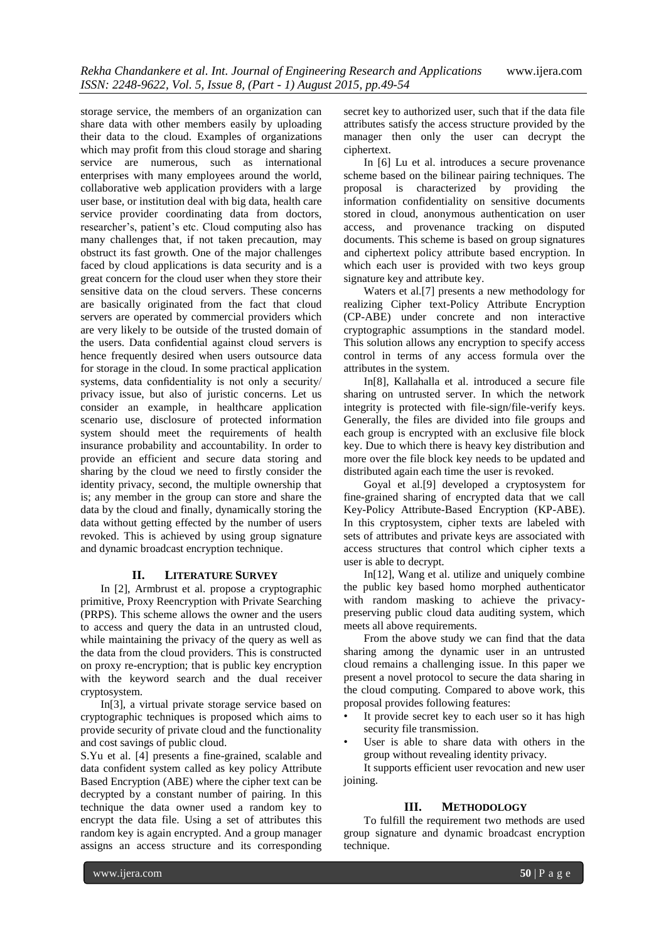storage service, the members of an organization can share data with other members easily by uploading their data to the cloud. Examples of organizations which may profit from this cloud storage and sharing service are numerous, such as international enterprises with many employees around the world, collaborative web application providers with a large user base, or institution deal with big data, health care service provider coordinating data from doctors, researcher's, patient's etc. Cloud computing also has many challenges that, if not taken precaution, may obstruct its fast growth. One of the major challenges faced by cloud applications is data security and is a great concern for the cloud user when they store their sensitive data on the cloud servers. These concerns are basically originated from the fact that cloud servers are operated by commercial providers which are very likely to be outside of the trusted domain of the users. Data confidential against cloud servers is hence frequently desired when users outsource data for storage in the cloud. In some practical application systems, data confidentiality is not only a security/ privacy issue, but also of juristic concerns. Let us consider an example, in healthcare application scenario use, disclosure of protected information system should meet the requirements of health insurance probability and accountability. In order to provide an efficient and secure data storing and sharing by the cloud we need to firstly consider the identity privacy, second, the multiple ownership that is; any member in the group can store and share the data by the cloud and finally, dynamically storing the data without getting effected by the number of users revoked. This is achieved by using group signature and dynamic broadcast encryption technique.

#### **II. LITERATURE SURVEY**

In [2], Armbrust et al. propose a cryptographic primitive, Proxy Reencryption with Private Searching (PRPS). This scheme allows the owner and the users to access and query the data in an untrusted cloud, while maintaining the privacy of the query as well as the data from the cloud providers. This is constructed on proxy re-encryption; that is public key encryption with the keyword search and the dual receiver cryptosystem.

In[3], a virtual private storage service based on cryptographic techniques is proposed which aims to provide security of private cloud and the functionality and cost savings of public cloud.

S.Yu et al. [4] presents a fine-grained, scalable and data confident system called as key policy Attribute Based Encryption (ABE) where the cipher text can be decrypted by a constant number of pairing. In this technique the data owner used a random key to encrypt the data file. Using a set of attributes this random key is again encrypted. And a group manager assigns an access structure and its corresponding

secret key to authorized user, such that if the data file attributes satisfy the access structure provided by the manager then only the user can decrypt the ciphertext.

In [6] Lu et al. introduces a secure provenance scheme based on the bilinear pairing techniques. The proposal is characterized by providing the information confidentiality on sensitive documents stored in cloud, anonymous authentication on user access, and provenance tracking on disputed documents. This scheme is based on group signatures and ciphertext policy attribute based encryption. In which each user is provided with two keys group signature key and attribute key.

Waters et al.[7] presents a new methodology for realizing Cipher text-Policy Attribute Encryption (CP-ABE) under concrete and non interactive cryptographic assumptions in the standard model. This solution allows any encryption to specify access control in terms of any access formula over the attributes in the system.

In[8], Kallahalla et al. introduced a secure file sharing on untrusted server. In which the network integrity is protected with file-sign/file-verify keys. Generally, the files are divided into file groups and each group is encrypted with an exclusive file block key. Due to which there is heavy key distribution and more over the file block key needs to be updated and distributed again each time the user is revoked.

Goyal et al.[9] developed a cryptosystem for fine-grained sharing of encrypted data that we call Key-Policy Attribute-Based Encryption (KP-ABE). In this cryptosystem, cipher texts are labeled with sets of attributes and private keys are associated with access structures that control which cipher texts a user is able to decrypt.

In[12], Wang et al. utilize and uniquely combine the public key based homo morphed authenticator with random masking to achieve the privacypreserving public cloud data auditing system, which meets all above requirements.

From the above study we can find that the data sharing among the dynamic user in an untrusted cloud remains a challenging issue. In this paper we present a novel protocol to secure the data sharing in the cloud computing. Compared to above work, this proposal provides following features:

- It provide secret key to each user so it has high security file transmission.
- User is able to share data with others in the group without revealing identity privacy.

It supports efficient user revocation and new user joining.

#### **III. METHODOLOGY**

To fulfill the requirement two methods are used group signature and dynamic broadcast encryption technique.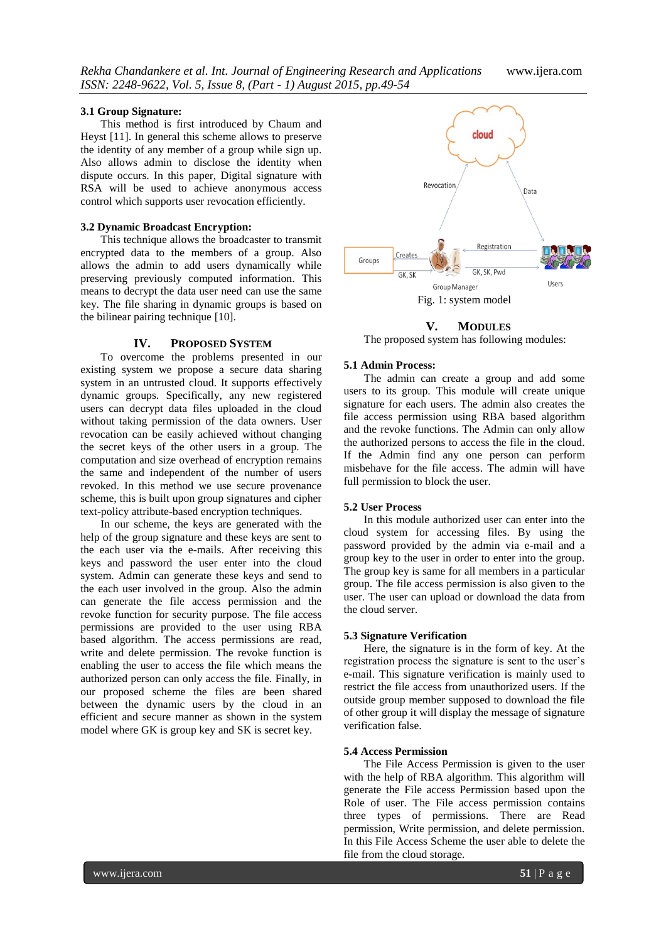#### **3.1 Group Signature:**

This method is first introduced by Chaum and Heyst [11]. In general this scheme allows to preserve the identity of any member of a group while sign up. Also allows admin to disclose the identity when dispute occurs. In this paper, Digital signature with RSA will be used to achieve anonymous access control which supports user revocation efficiently.

# **3.2 Dynamic Broadcast Encryption:**

This technique allows the broadcaster to transmit encrypted data to the members of a group. Also allows the admin to add users dynamically while preserving previously computed information. This means to decrypt the data user need can use the same key. The file sharing in dynamic groups is based on the bilinear pairing technique [10].

#### **IV. PROPOSED SYSTEM**

To overcome the problems presented in our existing system we propose a secure data sharing system in an untrusted cloud. It supports effectively dynamic groups. Specifically, any new registered users can decrypt data files uploaded in the cloud without taking permission of the data owners. User revocation can be easily achieved without changing the secret keys of the other users in a group. The computation and size overhead of encryption remains the same and independent of the number of users revoked. In this method we use secure provenance scheme, this is built upon group signatures and cipher text-policy attribute-based encryption techniques.

In our scheme, the keys are generated with the help of the group signature and these keys are sent to the each user via the e-mails. After receiving this keys and password the user enter into the cloud system. Admin can generate these keys and send to the each user involved in the group. Also the admin can generate the file access permission and the revoke function for security purpose. The file access permissions are provided to the user using RBA based algorithm. The access permissions are read, write and delete permission. The revoke function is enabling the user to access the file which means the authorized person can only access the file. Finally, in our proposed scheme the files are been shared between the dynamic users by the cloud in an efficient and secure manner as shown in the system model where GK is group key and SK is secret key.



**V. MODULES**

The proposed system has following modules:

# **5.1 Admin Process:**

The admin can create a group and add some users to its group. This module will create unique signature for each users. The admin also creates the file access permission using RBA based algorithm and the revoke functions. The Admin can only allow the authorized persons to access the file in the cloud. If the Admin find any one person can perform misbehave for the file access. The admin will have full permission to block the user.

## **5.2 User Process**

In this module authorized user can enter into the cloud system for accessing files. By using the password provided by the admin via e-mail and a group key to the user in order to enter into the group. The group key is same for all members in a particular group. The file access permission is also given to the user. The user can upload or download the data from the cloud server.

#### **5.3 Signature Verification**

Here, the signature is in the form of key. At the registration process the signature is sent to the user's e-mail. This signature verification is mainly used to restrict the file access from unauthorized users. If the outside group member supposed to download the file of other group it will display the message of signature verification false.

# **5.4 Access Permission**

The File Access Permission is given to the user with the help of RBA algorithm. This algorithm will generate the File access Permission based upon the Role of user. The File access permission contains three types of permissions. There are Read permission, Write permission, and delete permission. In this File Access Scheme the user able to delete the file from the cloud storage.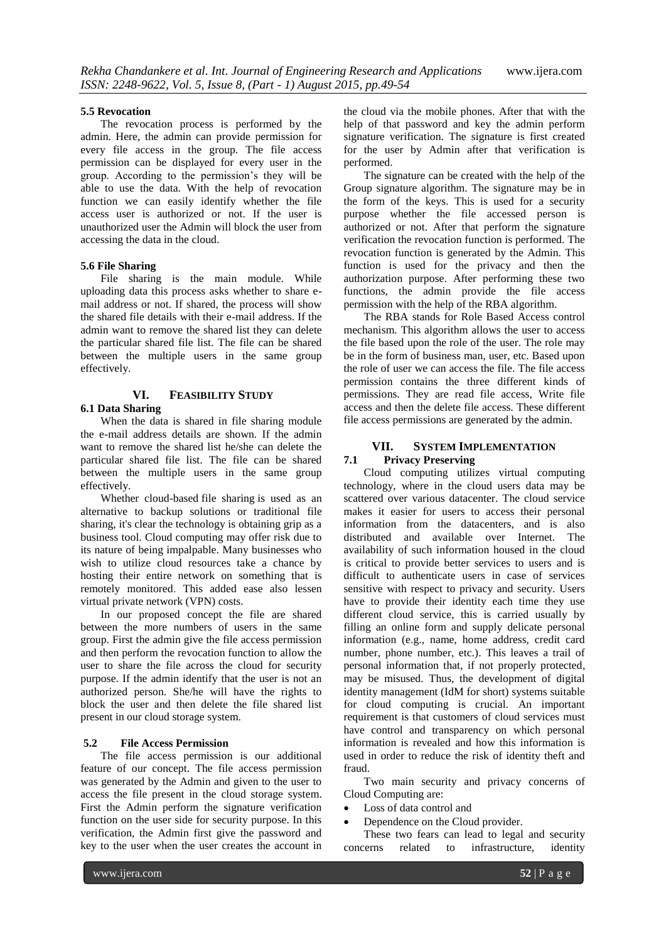#### **5.5 Revocation**

The revocation process is performed by the admin. Here, the admin can provide permission for every file access in the group. The file access permission can be displayed for every user in the group. According to the permission's they will be able to use the data. With the help of revocation function we can easily identify whether the file access user is authorized or not. If the user is unauthorized user the Admin will block the user from accessing the data in the cloud.

#### **5.6 File Sharing**

File sharing is the main module. While uploading data this process asks whether to share email address or not. If shared, the process will show the shared file details with their e-mail address. If the admin want to remove the shared list they can delete the particular shared file list. The file can be shared between the multiple users in the same group effectively.

## **VI. FEASIBILITY STUDY**

# **6.1 Data Sharing**

When the data is shared in file sharing module the e-mail address details are shown. If the admin want to remove the shared list he/she can delete the particular shared file list. The file can be shared between the multiple users in the same group effectively.

Whether cloud-based file sharing is used as an alternative to backup solutions or traditional file sharing, it's clear the technology is obtaining grip as a business tool. Cloud computing may offer risk due to its nature of being impalpable. Many businesses who wish to utilize cloud resources take a chance by hosting their entire network on something that is remotely monitored. This added ease also lessen virtual private network (VPN) costs.

In our proposed concept the file are shared between the more numbers of users in the same group. First the admin give the file access permission and then perform the revocation function to allow the user to share the file across the cloud for security purpose. If the admin identify that the user is not an authorized person. She/he will have the rights to block the user and then delete the file shared list present in our cloud storage system.

## **5.2 File Access Permission**

The file access permission is our additional feature of our concept. The file access permission was generated by the Admin and given to the user to access the file present in the cloud storage system. First the Admin perform the signature verification function on the user side for security purpose. In this verification, the Admin first give the password and key to the user when the user creates the account in

the cloud via the mobile phones. After that with the help of that password and key the admin perform signature verification. The signature is first created for the user by Admin after that verification is performed.

The signature can be created with the help of the Group signature algorithm. The signature may be in the form of the keys. This is used for a security purpose whether the file accessed person is authorized or not. After that perform the signature verification the revocation function is performed. The revocation function is generated by the Admin. This function is used for the privacy and then the authorization purpose. After performing these two functions, the admin provide the file access permission with the help of the RBA algorithm.

The RBA stands for Role Based Access control mechanism. This algorithm allows the user to access the file based upon the role of the user. The role may be in the form of business man, user, etc. Based upon the role of user we can access the file. The file access permission contains the three different kinds of permissions. They are read file access, Write file access and then the delete file access. These different file access permissions are generated by the admin.

# **VII. SYSTEM IMPLEMENTATION**

# **7.1 Privacy Preserving**

Cloud computing utilizes virtual computing technology, where in the cloud users data may be scattered over various datacenter. The cloud service makes it easier for users to access their personal information from the datacenters, and is also distributed and available over Internet. The availability of such information housed in the cloud is critical to provide better services to users and is difficult to authenticate users in case of services sensitive with respect to privacy and security. Users have to provide their identity each time they use different cloud service, this is carried usually by filling an online form and supply delicate personal information (e.g., name, home address, credit card number, phone number, etc.). This leaves a trail of personal information that, if not properly protected, may be misused. Thus, the development of digital identity management (IdM for short) systems suitable for cloud computing is crucial. An important requirement is that customers of cloud services must have control and transparency on which personal information is revealed and how this information is used in order to reduce the risk of identity theft and fraud.

Two main security and privacy concerns of Cloud Computing are:

- Loss of data control and
- Dependence on the Cloud provider.

These two fears can lead to legal and security concerns related to infrastructure, identity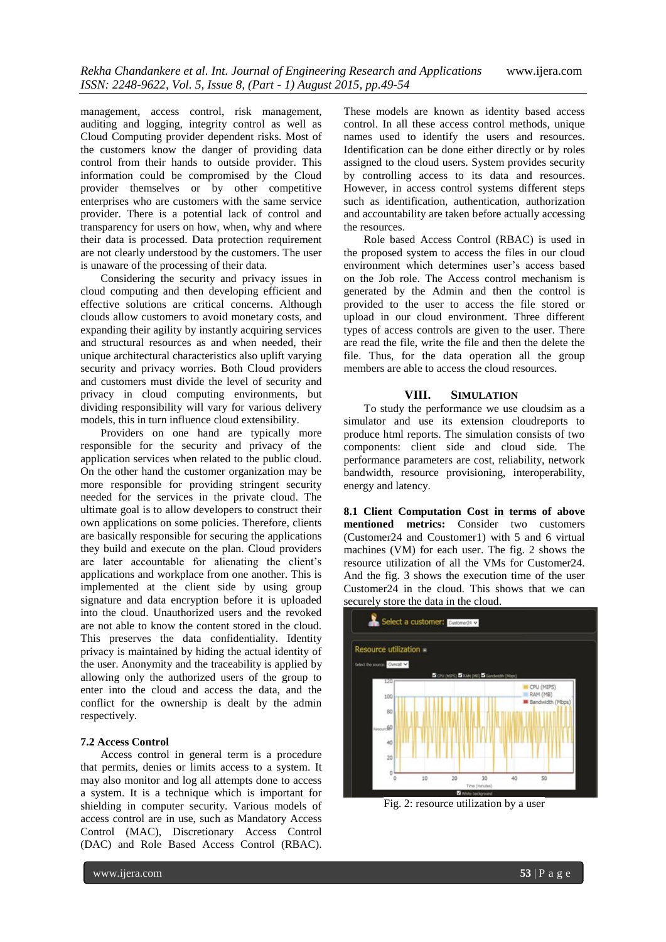management, access control, risk management, auditing and logging, integrity control as well as Cloud Computing provider dependent risks. Most of the customers know the danger of providing data control from their hands to outside provider. This information could be compromised by the Cloud provider themselves or by other competitive enterprises who are customers with the same service provider. There is a potential lack of control and transparency for users on how, when, why and where their data is processed. Data protection requirement are not clearly understood by the customers. The user is unaware of the processing of their data.

Considering the security and privacy issues in cloud computing and then developing efficient and effective solutions are critical concerns. Although clouds allow customers to avoid monetary costs, and expanding their agility by instantly acquiring services and structural resources as and when needed, their unique architectural characteristics also uplift varying security and privacy worries. Both Cloud providers and customers must divide the level of security and privacy in cloud computing environments, but dividing responsibility will vary for various delivery models, this in turn influence cloud extensibility.

Providers on one hand are typically more responsible for the security and privacy of the application services when related to the public cloud. On the other hand the customer organization may be more responsible for providing stringent security needed for the services in the private cloud. The ultimate goal is to allow developers to construct their own applications on some policies. Therefore, clients are basically responsible for securing the applications they build and execute on the plan. Cloud providers are later accountable for alienating the client's applications and workplace from one another. This is implemented at the client side by using group signature and data encryption before it is uploaded into the cloud. Unauthorized users and the revoked are not able to know the content stored in the cloud. This preserves the data confidentiality. Identity privacy is maintained by hiding the actual identity of the user. Anonymity and the traceability is applied by allowing only the authorized users of the group to enter into the cloud and access the data, and the conflict for the ownership is dealt by the admin respectively.

# **7.2 Access Control**

Access control in general term is a procedure that permits, denies or limits access to a system. It may also monitor and log all attempts done to access a system. It is a technique which is important for shielding in computer security. Various models of access control are in use, such as Mandatory Access Control (MAC), Discretionary Access Control (DAC) and Role Based Access Control (RBAC).

These models are known as identity based access control. In all these access control methods, unique names used to identify the users and resources. Identification can be done either directly or by roles assigned to the cloud users. System provides security by controlling access to its data and resources. However, in access control systems different steps such as identification, authentication, authorization and accountability are taken before actually accessing the resources.

Role based Access Control (RBAC) is used in the proposed system to access the files in our cloud environment which determines user's access based on the Job role. The Access control mechanism is generated by the Admin and then the control is provided to the user to access the file stored or upload in our cloud environment. Three different types of access controls are given to the user. There are read the file, write the file and then the delete the file. Thus, for the data operation all the group members are able to access the cloud resources.

#### **VIII. SIMULATION**

To study the performance we use cloudsim as a simulator and use its extension cloudreports to produce html reports. The simulation consists of two components: client side and cloud side. The performance parameters are cost, reliability, network bandwidth, resource provisioning, interoperability, energy and latency.

**8.1 Client Computation Cost in terms of above mentioned metrics:** Consider two customers (Customer24 and Coustomer1) with 5 and 6 virtual machines (VM) for each user. The fig. 2 shows the resource utilization of all the VMs for Customer24. And the fig. 3 shows the execution time of the user Customer24 in the cloud. This shows that we can securely store the data in the cloud.



Fig. 2: resource utilization by a user